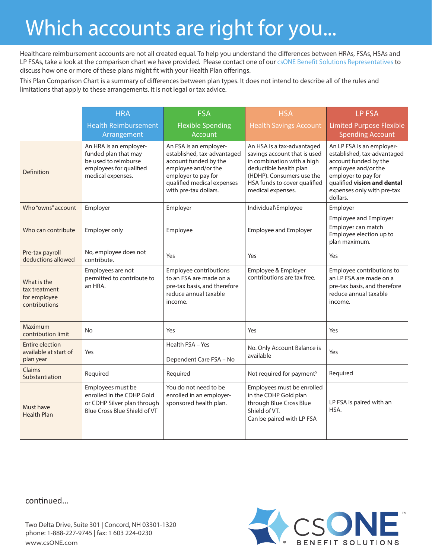## Which accounts are right for you...

Healthcare reimbursement accounts are not all created equal. To help you understand the differences between HRAs, FSAs, HSAs and LP FSAs, take a look at the comparison chart we have provided. Please contact one of our csONE Benefit Solutions Representatives to discuss how one or more of these plans might fit with your Health Plan offerings.

This Plan Comparison Chart is a summary of differences between plan types. It does not intend to describe all of the rules and limitations that apply to these arrangements. It is not legal or tax advice.

|                                                               | <b>HRA</b>                                                                                                             | <b>FSA</b>                                                                                                                                                                          | <b>HSA</b>                                                                                                                                                                                           | <b>LP FSA</b>                                                                                                                                                                                            |
|---------------------------------------------------------------|------------------------------------------------------------------------------------------------------------------------|-------------------------------------------------------------------------------------------------------------------------------------------------------------------------------------|------------------------------------------------------------------------------------------------------------------------------------------------------------------------------------------------------|----------------------------------------------------------------------------------------------------------------------------------------------------------------------------------------------------------|
|                                                               | <b>Health Reimbursement</b><br>Arrangement                                                                             | <b>Flexible Spending</b><br><b>Account</b>                                                                                                                                          | <b>Health Savings Account</b>                                                                                                                                                                        | <b>Limited Purpose Flexible</b><br><b>Spending Account</b>                                                                                                                                               |
| Definition                                                    | An HRA is an employer-<br>funded plan that may<br>be used to reimburse<br>employees for qualified<br>medical expenses. | An FSA is an employer-<br>established, tax-advantaged<br>account funded by the<br>employee and/or the<br>employer to pay for<br>qualified medical expenses<br>with pre-tax dollars. | An HSA is a tax-advantaged<br>savings account that is used<br>in combination with a high<br>deductible health plan<br>(HDHP). Consumers use the<br>HSA funds to cover qualified<br>medical expenses. | An LP FSA is an employer-<br>established, tax-advantaged<br>account funded by the<br>employee and/or the<br>employer to pay for<br>qualified vision and dental<br>expenses only with pre-tax<br>dollars. |
| Who "owns" account                                            | Employer                                                                                                               | Employer                                                                                                                                                                            | Individual\Employee                                                                                                                                                                                  | Employer                                                                                                                                                                                                 |
| Who can contribute                                            | Employer only                                                                                                          | Employee                                                                                                                                                                            | <b>Employee and Employer</b>                                                                                                                                                                         | <b>Employee and Employer</b><br>Employer can match<br>Employee election up to<br>plan maximum.                                                                                                           |
| Pre-tax payroll<br>deductions allowed                         | No, employee does not<br>contribute.                                                                                   | Yes                                                                                                                                                                                 | Yes                                                                                                                                                                                                  | Yes                                                                                                                                                                                                      |
| What is the<br>tax treatment<br>for employee<br>contributions | Employees are not<br>permitted to contribute to<br>an HRA.                                                             | Employee contributions<br>to an FSA are made on a<br>pre-tax basis, and therefore<br>reduce annual taxable<br>income.                                                               | Employee & Employer<br>contributions are tax free.                                                                                                                                                   | Employee contributions to<br>an LP FSA are made on a<br>pre-tax basis, and therefore<br>reduce annual taxable<br>income.                                                                                 |
| Maximum<br>contribution limit                                 | No                                                                                                                     | Yes                                                                                                                                                                                 | Yes                                                                                                                                                                                                  | Yes                                                                                                                                                                                                      |
| <b>Entire election</b><br>available at start of<br>plan year  | Yes                                                                                                                    | Health FSA - Yes<br>Dependent Care FSA - No                                                                                                                                         | No. Only Account Balance is<br>available                                                                                                                                                             | Yes                                                                                                                                                                                                      |
| Claims<br>Substantiation                                      | Required                                                                                                               | Required                                                                                                                                                                            | Not required for payment <sup>5</sup>                                                                                                                                                                | Required                                                                                                                                                                                                 |
| Must have<br><b>Health Plan</b>                               | Employees must be<br>enrolled in the CDHP Gold<br>or CDHP Silver plan through<br>Blue Cross Blue Shield of VT          | You do not need to be<br>enrolled in an employer-<br>sponsored health plan.                                                                                                         | Employees must be enrolled<br>in the CDHP Gold plan<br>through Blue Cross Blue<br>Shield of VT.<br>Can be paired with LP FSA                                                                         | LP FSA is paired with an<br>HSA.                                                                                                                                                                         |

continued...